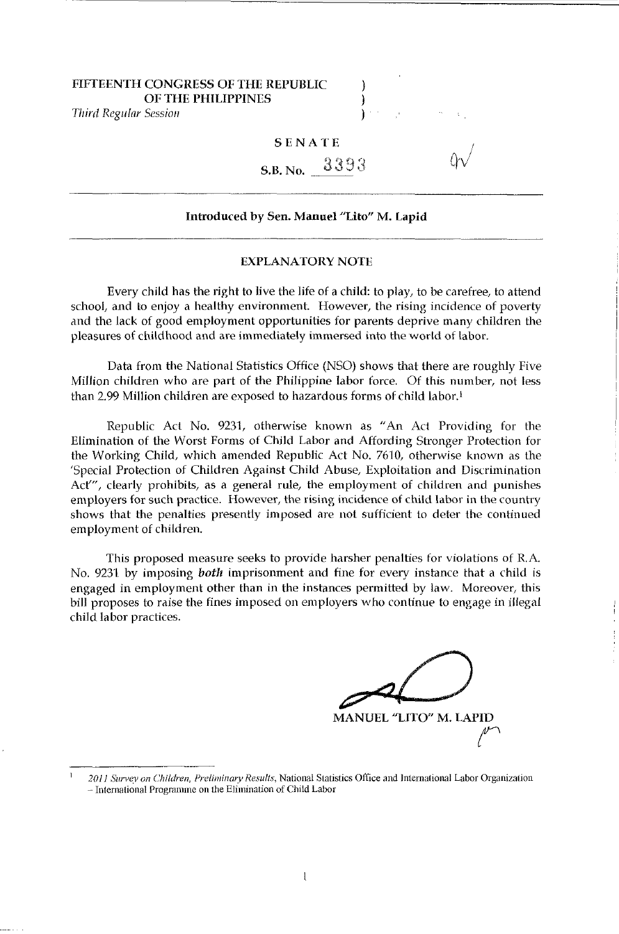### FIFTEENTH CONGRESS OF THE REPUBLIC OF THE PHILIPPINES

*Third Regular Session* 

### SENATE

 $S.B. No. \_ 3393$ 

### Introduced by Sen. Manuel "Lito" M. Lapid

#### EXPLANATORY NOTE

Every child has the right to live the life of a child: to play, to be carefree, to attend school, and to enjoy a healthy environment. However, the rising incidence of poverty and the lack of good employment opportunities for parents deprive many children the pleasures of childhood and are immediately immersed into the world of labor.

Data from the National Statistics Office (NSO) shows that there are roughly Five Million children who are part of the Philippine labor force. Of this number, not less than 2.99 Million children are exposed to hazardous forms of child labor.<sup>1</sup>

Republic Act No. 9231, otherwise known as "An Act Providing for the Elimination of the Worst Forms of Child Labor and Affording Stronger Protection for the Working Child, which amended Republic Act No. 7610, otherwise known as the 'Special Protection of Children Against Child Abuse, Exploitation and Discrimination Act''', clearly prohibits, as a general rule, the employment of children and punishes employers for such practice. However, the rising incidence of child labor in the country shows that the penalties presently imposed are not sufficient to deter the continued employment of children.

This proposed measure seeks to provide harsher penalties for violations of RA. No. 9231 by imposing *both* imprisonment and fine for every instance that a child is engaged in employment other than in the instances permitted by law. Moreover, this bill proposes to raise the fines imposed on employers who continue to engage in illegal child labor practices.

*paD*  MANUEL "LITO" M. LAPID *r* 

*<sup>2011</sup> Survey on Children, Preliminary Results,* National Statistics Office and 1nternational Labor Organization - International Progrmnme on the Elimination of Child Labor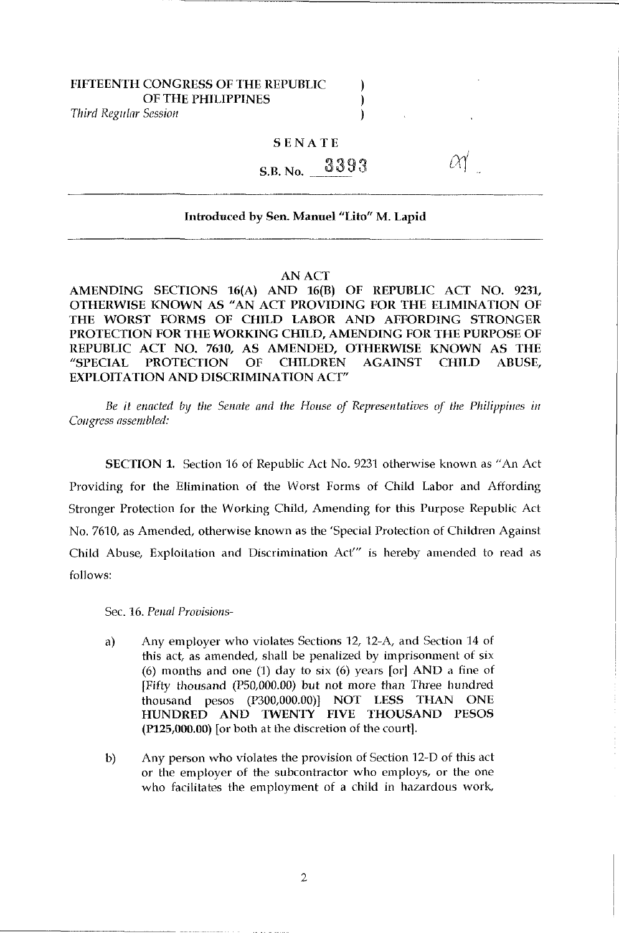## FIFTEENTH CONGRESS OF THE REPUBLIC  $\qquad \qquad$ OF THE PHILIPPINES (1999)

*Third Regl/lar Session* )

### SENATE

# $_{\rm S.B.~No.}$  3393

### Introduced by Sen. Manuel "Lito" M. Lapid

#### AN ACT

AMENDING SECTIONS 16(A) AND 16(B) OF REPUBLIC ACT NO. 9231, OTHERWISE KNOWN AS "AN ACT PROVIDING FOR THE ELIMINATION OF THE WORST FORMS OF CHILD LABOR AND AFFORDING STRONGER PROTECTION FOR THE WORKING CHILD, AMENDING FOR THE PURPOSE OF REPUBLIC ACT NO. 7610, AS AMENDED, OTHERWISE KNOWN AS THE "SPECIAL PROTECTION OF CHILDREN AGAINST CHILD ABUSE, EXPLOITATION AND DISCRIMINATION ACT"

Be it enacted by the Senate and the House of Representatives of the Philippines in *COllgress assembled:* 

SECTION 1. Section 16 of Republic Act No. 9231 otherwise known as "An Act Providing for the Elimination of the Worst Forms of Child Labor and Affording Stronger Protection for the Working Child, Amending for this Purpose Republic Act No. 7610, as Amended, otherwise known as the 'Special Protection of Children Against Child Abuse, Exploitation and Discrimination Act''' is hereby amended to read as follows:

Sec. 16. Penal Provisions-

- a) Any employer who violates Sections 12, 12-A, and Section 14 of this act, as amended, shall be penalized by imprisonment of six (6) months and one (1) day to six (6) years  $\lceil$  or  $\rceil$  AND a fine of [Fifty thousand (PSO,OOO.OO) but not more than Three hundred thousand pesos (P300,000.00)] NOT LESS THAN ONE HUNDRED AND TWENTY FIVE THOUSAND PESOS (P125,000.00) for both at the discretion of the court].
- b) Any person who violates the provision of Section 12-D of this act or the employer of the subcontractor who employs, or the one who facilitates the employment of a child in hazardous work,